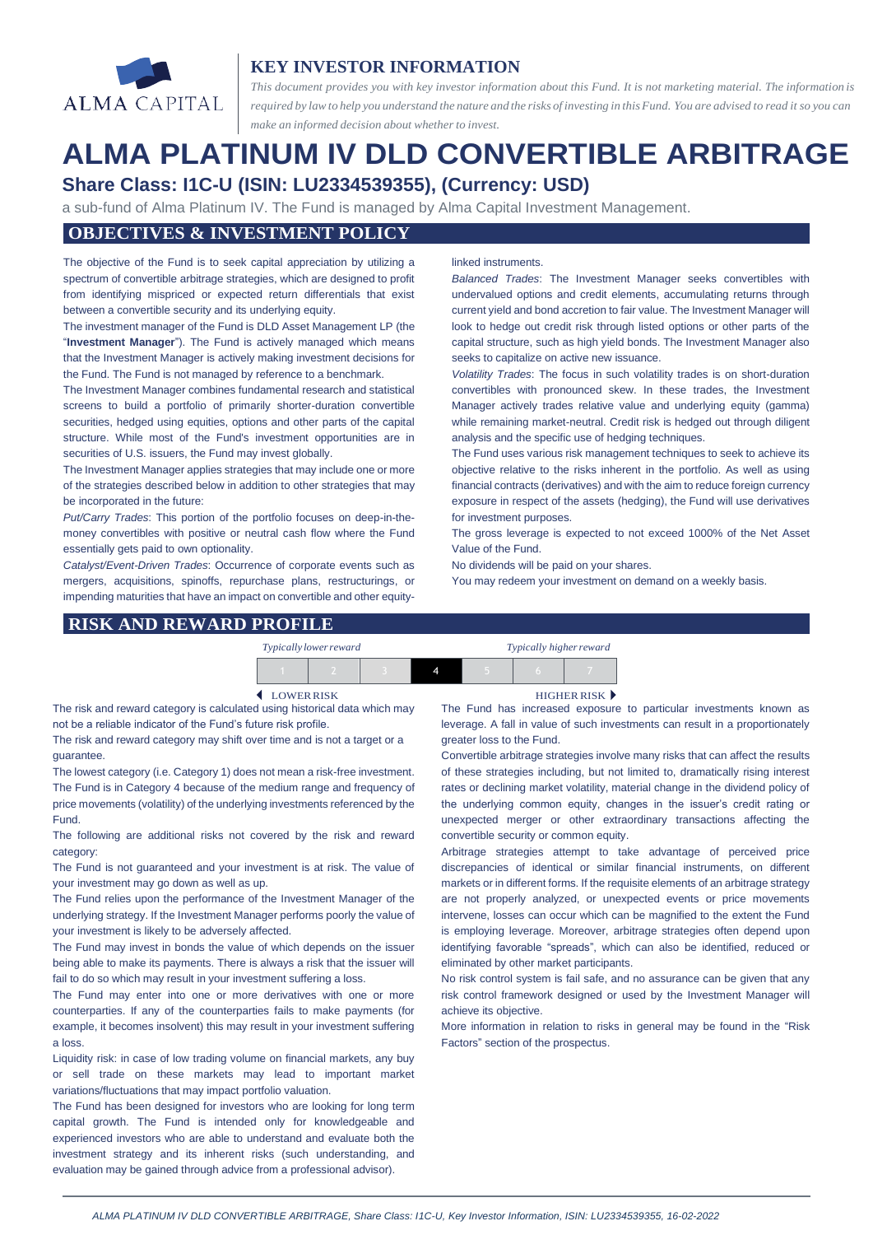

# **KEY INVESTOR INFORMATION**

*This document provides you with key investor information about this Fund. It is not marketing material. The information is* required by law to help you understand the nature and the risks of investing in this Fund. You are advised to read it so you can *make an informed decision about whether to invest.*

# **ALMA PLATINUM IV DLD CONVERTIBLE ARBITRAGE Share Class: I1C-U (ISIN: LU2334539355), (Currency: USD)**

a sub-fund of Alma Platinum IV. The Fund is managed by Alma Capital Investment Management.

## **OBJECTIVES & INVESTMENT POLICY**

The objective of the Fund is to seek capital appreciation by utilizing a spectrum of convertible arbitrage strategies, which are designed to profit from identifying mispriced or expected return differentials that exist between a convertible security and its underlying equity.

The investment manager of the Fund is DLD Asset Management LP (the "**Investment Manager**"). The Fund is actively managed which means that the Investment Manager is actively making investment decisions for the Fund. The Fund is not managed by reference to a benchmark.

The Investment Manager combines fundamental research and statistical screens to build a portfolio of primarily shorter-duration convertible securities, hedged using equities, options and other parts of the capital structure. While most of the Fund's investment opportunities are in securities of U.S. issuers, the Fund may invest globally.

The Investment Manager applies strategies that may include one or more of the strategies described below in addition to other strategies that may be incorporated in the future:

*Put/Carry Trades*: This portion of the portfolio focuses on deep-in-themoney convertibles with positive or neutral cash flow where the Fund essentially gets paid to own optionality.

*Catalyst/Event-Driven Trades*: Occurrence of corporate events such as mergers, acquisitions, spinoffs, repurchase plans, restructurings, or impending maturities that have an impact on convertible and other equity-

#### linked instruments.

*Balanced Trades*: The Investment Manager seeks convertibles with undervalued options and credit elements, accumulating returns through current yield and bond accretion to fair value. The Investment Manager will look to hedge out credit risk through listed options or other parts of the capital structure, such as high yield bonds. The Investment Manager also seeks to capitalize on active new issuance.

*Volatility Trades*: The focus in such volatility trades is on short-duration convertibles with pronounced skew. In these trades, the Investment Manager actively trades relative value and underlying equity (gamma) while remaining market-neutral. Credit risk is hedged out through diligent analysis and the specific use of hedging techniques.

The Fund uses various risk management techniques to seek to achieve its objective relative to the risks inherent in the portfolio. As well as using financial contracts (derivatives) and with the aim to reduce foreign currency exposure in respect of the assets (hedging), the Fund will use derivatives for investment purposes.

The gross leverage is expected to not exceed 1000% of the Net Asset Value of the Fund.

No dividends will be paid on your shares.

You may redeem your investment on demand on a weekly basis.

#### **RISK AND REWARD PROFILE**

| Typically lower reward |  | Typically higher reward |  |  |  |
|------------------------|--|-------------------------|--|--|--|
|                        |  |                         |  |  |  |

The risk and reward category is calculated using historical data which may not be a reliable indicator of the Fund's future risk profile.

The risk and reward category may shift over time and is not a target or a guarantee.

The lowest category (i.e. Category 1) does not mean a risk-free investment. The Fund is in Category 4 because of the medium range and frequency of price movements (volatility) of the underlying investments referenced by the Fund.

The following are additional risks not covered by the risk and reward category:

The Fund is not guaranteed and your investment is at risk. The value of your investment may go down as well as up.

The Fund relies upon the performance of the Investment Manager of the underlying strategy. If the Investment Manager performs poorly the value of your investment is likely to be adversely affected.

The Fund may invest in bonds the value of which depends on the issuer being able to make its payments. There is always a risk that the issuer will fail to do so which may result in your investment suffering a loss.

The Fund may enter into one or more derivatives with one or more counterparties. If any of the counterparties fails to make payments (for example, it becomes insolvent) this may result in your investment suffering a loss.

Liquidity risk: in case of low trading volume on financial markets, any buy or sell trade on these markets may lead to important market variations/fluctuations that may impact portfolio valuation.

The Fund has been designed for investors who are looking for long term capital growth. The Fund is intended only for knowledgeable and experienced investors who are able to understand and evaluate both the investment strategy and its inherent risks (such understanding, and evaluation may be gained through advice from a professional advisor).

LOWERRISK HIGHER RISK

The Fund has increased exposure to particular investments known as leverage. A fall in value of such investments can result in a proportionately greater loss to the Fund.

Convertible arbitrage strategies involve many risks that can affect the results of these strategies including, but not limited to, dramatically rising interest rates or declining market volatility, material change in the dividend policy of the underlying common equity, changes in the issuer's credit rating or unexpected merger or other extraordinary transactions affecting the convertible security or common equity.

Arbitrage strategies attempt to take advantage of perceived price discrepancies of identical or similar financial instruments, on different markets or in different forms. If the requisite elements of an arbitrage strategy are not properly analyzed, or unexpected events or price movements intervene, losses can occur which can be magnified to the extent the Fund is employing leverage. Moreover, arbitrage strategies often depend upon identifying favorable "spreads", which can also be identified, reduced or eliminated by other market participants.

No risk control system is fail safe, and no assurance can be given that any risk control framework designed or used by the Investment Manager will achieve its objective.

More information in relation to risks in general may be found in the "Risk Factors" section of the prospectus.